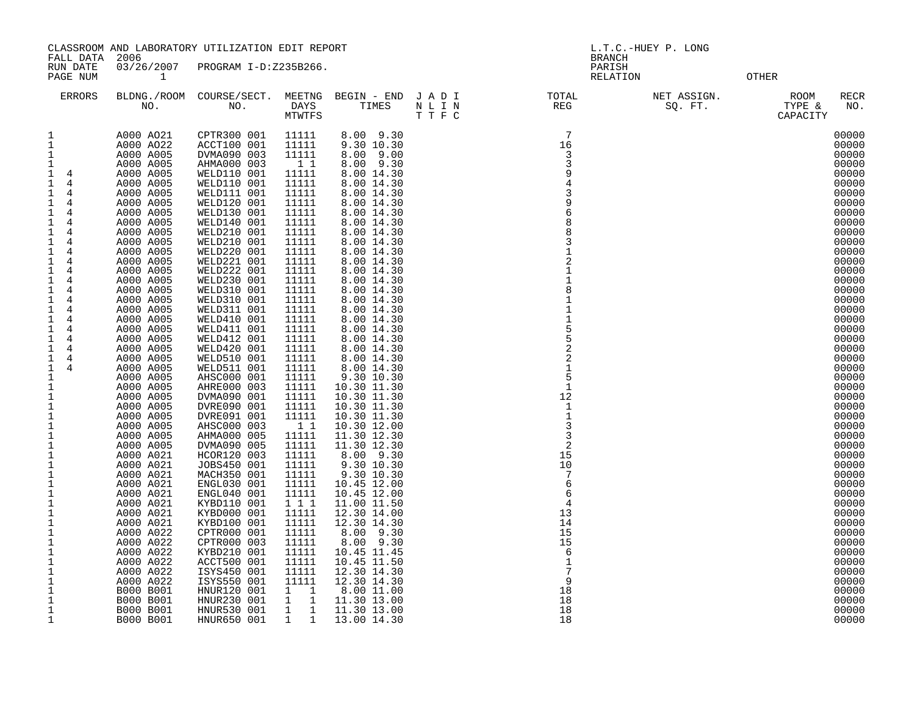|                                                                                                                                                                                                                                                                                                                                                                                                                                                                                                                           |                                                                                                                                                                                                                                                                                                                                                                                                                              | CLASSROOM AND LABORATORY UTILIZATION EDIT REPORT                                                                                                                                                                                                                                                                                                                                                                                                                                             |                                                                                                                                                                                                                                                                                               |                                                                                                                                                                                                                                                                                                                                                                                                                                                                 |                                                                                                    | L.T.C.-HUEY P. LONG                                                                                                                      |                        |                                                                                                                                                                                                                                                                                              |  |  |
|---------------------------------------------------------------------------------------------------------------------------------------------------------------------------------------------------------------------------------------------------------------------------------------------------------------------------------------------------------------------------------------------------------------------------------------------------------------------------------------------------------------------------|------------------------------------------------------------------------------------------------------------------------------------------------------------------------------------------------------------------------------------------------------------------------------------------------------------------------------------------------------------------------------------------------------------------------------|----------------------------------------------------------------------------------------------------------------------------------------------------------------------------------------------------------------------------------------------------------------------------------------------------------------------------------------------------------------------------------------------------------------------------------------------------------------------------------------------|-----------------------------------------------------------------------------------------------------------------------------------------------------------------------------------------------------------------------------------------------------------------------------------------------|-----------------------------------------------------------------------------------------------------------------------------------------------------------------------------------------------------------------------------------------------------------------------------------------------------------------------------------------------------------------------------------------------------------------------------------------------------------------|----------------------------------------------------------------------------------------------------|------------------------------------------------------------------------------------------------------------------------------------------|------------------------|----------------------------------------------------------------------------------------------------------------------------------------------------------------------------------------------------------------------------------------------------------------------------------------------|--|--|
| FALL DATA<br>RUN DATE<br>PAGE NUM                                                                                                                                                                                                                                                                                                                                                                                                                                                                                         | 2006<br>$\mathbf{1}$                                                                                                                                                                                                                                                                                                                                                                                                         | 03/26/2007 PROGRAM I-D:Z235B266.                                                                                                                                                                                                                                                                                                                                                                                                                                                             |                                                                                                                                                                                                                                                                                               |                                                                                                                                                                                                                                                                                                                                                                                                                                                                 |                                                                                                    | <b>BRANCH</b><br>PARISH<br>RELATION                                                                                                      | OTHER                  |                                                                                                                                                                                                                                                                                              |  |  |
| ERRORS                                                                                                                                                                                                                                                                                                                                                                                                                                                                                                                    |                                                                                                                                                                                                                                                                                                                                                                                                                              |                                                                                                                                                                                                                                                                                                                                                                                                                                                                                              |                                                                                                                                                                                                                                                                                               |                                                                                                                                                                                                                                                                                                                                                                                                                                                                 | BLDNG./ROOM COURSE/SECT. MEETNG BEGIN - END J A D I TOTAL TOTAL NO. NO. DAYS TIMES N L I N REG REG |                                                                                                                                          | NET ASSIGN.<br>SQ. FT. | ROOM<br>RECR<br>TYPE &<br>NO.<br>CAPACITY                                                                                                                                                                                                                                                    |  |  |
| 1<br>$\mathbf 1$<br>$\mathbf{1}$<br>1<br>$1 \quad 4$<br>$\mathbf{1}$<br>$\overline{4}$<br>1<br>4<br>$\mathbf{1}$<br>4<br>1<br>4<br>$\mathbf{1}$<br>4<br>1<br>4<br>$\mathbf{1}$<br>4<br>$\mathbf{1}$<br>4<br>$\mathbf{1}$<br>4<br>1<br>4<br>4<br>1<br>$\mathbf{1}$<br>4<br>1<br>4<br>$\mathbf{1}$<br>4<br>1<br>$\overline{4}$<br>$\mathbf{1}$<br>4<br>1<br>$\overline{4}$<br>$\mathbf{1}$<br>4<br>1<br>$\overline{4}$<br>$\mathbf{1}$<br>$\overline{4}$<br>1<br>1<br>1<br>1<br>$\mathbf{1}$<br>$\mathbf 1$<br>$\mathbf{1}$ | A000 A021<br>A000 A022<br>A000 A005<br>A000 A005<br>A000 A005<br>A000 A005<br>A000 A005<br>A000 A005<br>A000 A005<br>A000 A005<br>A000 A005<br>A000 A005<br>A000 A005<br>A000 A005<br>A000 A005<br>A000 A005<br>A000 A005<br>A000 A005<br>A000 A005<br>A000 A005<br>A000 A005<br>A000 A005<br>A000 A005<br>A000 A005<br>A000 A005<br>A000 A005<br>A000 A005<br>A000 A005<br>A000 A005<br>A000 A005<br>A000 A005<br>A000 A005 | CPTR300 001<br>ACCT100 001<br>DVMA090 003<br>AHMA000 003<br>WELD110 001<br>WELD110 001<br>WELD111 001<br>WELD120 001<br>WELD130 001<br>WELD140 001<br>WELD210 001<br>WELD210 001<br>WELD220 001<br>WELD221 001<br>WELD222 001<br>WELD230 001<br>WELD310 001<br>WELD310 001<br>WELD311 001<br>WELD410 001<br>WELD411 001<br>WELD412 001<br>WELD420 001<br>WELD510 001<br>WELD511 001<br>AHSC000 001<br>AHRE000 003<br>DVMA090 001<br>DVRE090 001<br>DVRE091 001<br>AHSC000 003<br>AHMA000 005 | 11111<br>11111<br>11111<br>$1\quad1$<br>11111<br>11111<br>11111<br>11111<br>11111<br>11111<br>11111<br>11111<br>11111<br>11111<br>11111<br>11111<br>11111<br>11111<br>11111<br>11111<br>11111<br>11111<br>11111<br>11111<br>11111<br>11111<br>11111<br>11111<br>11111<br>11111<br>11<br>11111 | 8.00 9.30<br>9.30 10.30<br>8.00 9.00<br>8.00 9.30<br>8.00 14.30<br>8.00 14.30<br>8.00 14.30<br>8.00 14.30<br>8.00 14.30<br>8.00 14.30<br>8.00 14.30<br>8.00 14.30<br>8.00 14.30<br>8.00 14.30<br>8.00 14.30<br>8.00 14.30<br>8.00 14.30<br>8.00 14.30<br>8.00 14.30<br>8.00 14.30<br>8.00 14.30<br>8.00 14.30<br>8.00 14.30<br>8.00 14.30<br>8.00 14.30<br>9.30 10.30<br>10.30 11.30<br>10.30 11.30<br>10.30 11.30<br>10.30 11.30<br>10.30 12.00<br>11.30 12.30 |                                                                                                    | $7\phantom{.0}$<br>16<br>3<br>3<br>9<br>3<br>6<br>2<br>8<br>$\mathbf{1}$<br>$\mathbf{1}$<br>12<br>$\mathbf{1}$<br>$\mathbf{1}$<br>3<br>3 |                        | 00000<br>00000<br>00000<br>00000<br>00000<br>00000<br>00000<br>00000<br>00000<br>00000<br>00000<br>00000<br>00000<br>00000<br>00000<br>00000<br>00000<br>00000<br>00000<br>00000<br>00000<br>00000<br>00000<br>00000<br>00000<br>00000<br>00000<br>00000<br>00000<br>00000<br>00000<br>00000 |  |  |
| $\mathbf 1$<br>$\mathbf 1$<br>1<br>1<br>$\mathbf 1$<br>1<br>$\mathbf 1$<br>1<br>$\mathbf 1$<br>$\mathbf{1}$<br>1<br>1<br>1<br>1<br>1<br>1<br>1<br>$\mathbf 1$<br>1                                                                                                                                                                                                                                                                                                                                                        | A000 A005<br>A000 A021<br>A000 A021<br>A000 A021<br>A000 A021<br>A000 A021<br>A000 A021<br>A000 A021<br>A000 A021<br>A000 A022<br>A000 A022<br>A000 A022<br>A000 A022<br>A000 A022<br>A000 A022<br>B000 B001<br>B000 B001<br>B000 B001<br>B000 B001                                                                                                                                                                          | DVMA090 005<br>HCOR120 003<br>JOBS450 001<br>MACH350 001<br>ENGL030 001<br>ENGL040 001<br>KYBD110 001<br>KYBD000 001<br>KYBD100 001<br>CPTR000 001<br>CPTR000 003<br>KYBD210 001<br>ACCT500 001<br>ISYS450 001<br>ISYS550 001<br>HNUR120 001<br>HNUR230 001<br>HNUR530 001<br>HNUR650 001                                                                                                                                                                                                    | 11111<br>11111<br>11111<br>11111<br>11111<br>11111<br>1 1 1<br>11111<br>11111<br>11111<br>11111<br>11111<br>11111<br>11111<br>11111<br>$1 \quad 1$<br>$1 \quad 1$<br>$1 \quad 1$<br>$1 \quad 1$                                                                                               | 11.30 12.30<br>8.00 9.30<br>9.30 10.30<br>9.30 10.30<br>10.45 12.00<br>10.45 12.00<br>11.00 11.50<br>12.30 14.00<br>12.30 14.30<br>8.00 9.30<br>8.00 9.30<br>10.45 11.45<br>10.45 11.50<br>12.30 14.30<br>12.30 14.30<br>8.00 11.00<br>11.30 13.00<br>11.30 13.00<br>13.00 14.30                                                                                                                                                                                |                                                                                                    | $\overline{2}$<br>15<br>10<br>7<br>-6<br>6<br>4<br>13<br>14<br>15<br>15<br>-6<br>1<br>9<br>18<br>18<br>18<br>18                          |                        | 00000<br>00000<br>00000<br>00000<br>00000<br>00000<br>00000<br>00000<br>00000<br>00000<br>00000<br>00000<br>00000<br>00000<br>00000<br>00000<br>00000<br>00000<br>00000                                                                                                                      |  |  |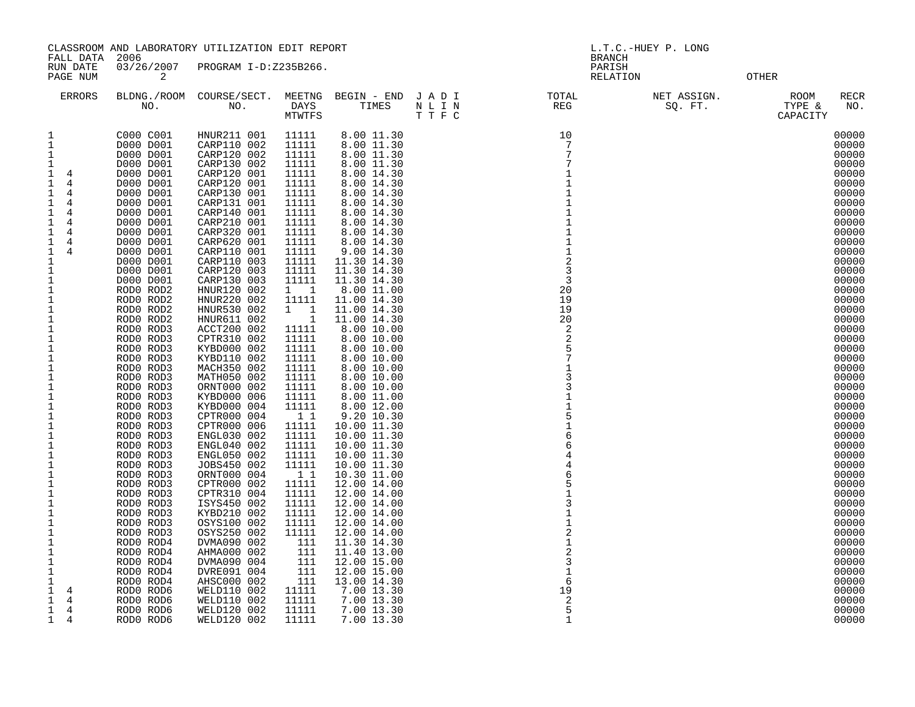| RUN DATE<br>03/26/2007 PROGRAM I-D:Z235B266.<br>PARISH<br>$\overline{a}$<br>PAGE NUM<br>RELATION<br>OTHER<br>BLDNG./ROOM COURSE/SECT. MEETNG BEGIN - END JADI I TOTAL TOTAL NO. DAYS TIMES NLIN REG TTFC<br>ERRORS<br>NET ASSIGN.<br>ROOM<br>RECR<br>SQ. FT.<br>TYPE &<br>NO.<br>CAPACITY<br>C000 C001<br>HNUR211 001<br>11111<br>8.00 11.30<br>10<br>00000<br>1<br>$\mathbf{1}$<br>7<br>D000 D001<br>11111<br>00000<br>CARP110 002<br>8.00 11.30<br>$\mathbf{1}$<br>7<br>00000<br>D000 D001<br>CARP120 002<br>11111<br>8.00 11.30<br>00000<br>CARP130 002<br>$\overline{7}$<br>$\mathbf{1}$<br>D000 D001<br>11111<br>8.00 11.30<br>CARP120 001<br>00000<br>$\mathbf 1$<br>D000 D001<br>11111<br>8.00 14.30<br>1<br>$\overline{4}$<br>CARP120 001<br>00000<br>$\mathbf{1}$<br>D000 D001<br>11111<br>8.00 14.30<br>$\mathbf{1}$<br>$\overline{4}$<br>00000<br>CARP130 001<br>11111<br>8.00 14.30<br>1<br>1<br>$\overline{4}$<br>D000 D001<br>00000<br>CARP131 001<br>D000 D001<br>11111<br>8.00 14.30<br>$\mathbf{1}$<br>1<br>$\overline{4}$<br>CARP140 001<br>00000<br>D000 D001<br>11111<br>8.00 14.30<br>1<br>1<br>$\overline{4}$<br>00000<br>CARP210 001<br>11111<br>D000 D001<br>8.00 14.30<br>1<br>1<br>4<br>CARP320 001<br>00000<br>D000 D001<br>11111<br>8.00 14.30<br>1<br>1<br>4<br>CARP620 001<br>00000<br>11111<br>8.00 14.30<br>$\mathbf 1$<br>D000 D001<br>1<br>4<br>CARP110 001<br>00000<br>11111<br>9.00 14.30<br>$\mathbf{1}$<br>1<br>$\overline{4}$<br>D000 D001<br>CARP110 003<br>$\overline{c}$<br>11111<br>11.30 14.30<br>00000<br>$\mathbf{1}$<br>D000 D001<br>$\overline{3}$<br>00000<br>CARP120 003<br>11.30 14.30<br>1<br>D000 D001<br>11111<br>CARP130 003<br>00000<br>D000 D001<br>11111<br>11.30 14.30<br>3<br>$\mathbf{1}$<br>00000<br>HNUR120 002<br>20<br>1<br>RODO ROD2<br>$1 \quad 1$<br>8.00 11.00<br>HNUR220 002<br>11111<br>11.00 14.30<br>19<br>00000<br>$\mathbf 1$<br>RODO ROD2<br>00000<br>1<br>HNUR530 002<br>$1 \quad 1$<br>11.00 14.30<br>19<br>RODO ROD2<br>00000<br>HNUR611 002<br>$\sim$ 1<br>11.00 14.30<br>$\mathbf{1}$<br>RODO ROD2<br>20<br>ACCT200 002<br>00000<br>11111<br>8.00 10.00<br>$\overline{2}$<br>1<br>RODO ROD3<br>CPTR310 002<br>11111<br>2<br>00000<br>$\mathbf 1$<br>RODO ROD3<br>8.00 10.00<br>5<br>KYBD000 002<br>00000<br>1<br>RODO ROD3<br>11111<br>8.00 10.00<br>$\overline{7}$<br>00000<br>$\mathbf 1$<br>KYBD110 002<br>11111<br>8.00 10.00<br>RODO ROD3<br>MACH350 002<br>11111<br>00000<br>1<br>RODO ROD3<br>8.00 10.00<br>MATH050 002<br>11111<br>8.00 10.00<br>3<br>00000<br>$\mathbf 1$<br>RODO ROD3<br>00000<br>$\mathbf 1$<br>ORNT000 002<br>3<br>RODO ROD3<br>11111<br>8.00 10.00<br>00000<br>$\mathbf 1$<br>RODO ROD3<br>KYBD000 006<br>11111<br>8.00 11.00<br>00000<br>$\mathbf{1}$<br>KYBD000 004<br>8.00 12.00<br>RODO ROD3<br>11111<br>00000<br>$\mathbf 1$<br>RODO ROD3<br>CPTR000 004<br>11<br>9.20 10.30<br>$\mathbf{1}$<br>00000<br>CPTR000 006<br>11111<br>10.00 11.30<br>RODO ROD3<br>00000<br>$\mathbf 1$<br>ENGL030 002<br>6<br>RODO ROD3<br>11111<br>10.00 11.30<br>00000<br>ENGL040 002<br>11111<br>10.00 11.30<br>$\mathbf 1$<br>RODO ROD3<br>6<br>00000<br>ENGL050 002<br>11111<br>1<br>RODO ROD3<br>10.00 11.30<br>00000<br>$\mathbf 1$<br>JOBS450 002<br>11111<br>10.00 11.30<br>RODO ROD3<br>4<br>00000<br>1<br>ORNT000 004<br>11<br>10.30 11.00<br>RODO ROD3<br>00000<br>CPTR000 002<br>11111<br>$\mathbf{1}$<br>12.00 14.00<br>RODO ROD3<br>CPTR310 004<br>00000<br>1<br>11111<br>12.00 14.00<br>RODO ROD3<br>$\mathbf{1}$<br>ISYS450 002<br>11111<br>$\mathbf{3}$<br>00000<br>RODO ROD3<br>12.00 14.00<br>KYBD210 002<br>00000<br>1<br>RODO ROD3<br>11111<br>12.00 14.00<br>00000<br>OSYS100 002<br>11111<br>12.00 14.00<br>$\mathbf 1$<br>RODO ROD3 |           |           | CLASSROOM AND LABORATORY UTILIZATION EDIT REPORT |       |             | L.T.C.-HUEY P. LONG |               |  |  |       |
|------------------------------------------------------------------------------------------------------------------------------------------------------------------------------------------------------------------------------------------------------------------------------------------------------------------------------------------------------------------------------------------------------------------------------------------------------------------------------------------------------------------------------------------------------------------------------------------------------------------------------------------------------------------------------------------------------------------------------------------------------------------------------------------------------------------------------------------------------------------------------------------------------------------------------------------------------------------------------------------------------------------------------------------------------------------------------------------------------------------------------------------------------------------------------------------------------------------------------------------------------------------------------------------------------------------------------------------------------------------------------------------------------------------------------------------------------------------------------------------------------------------------------------------------------------------------------------------------------------------------------------------------------------------------------------------------------------------------------------------------------------------------------------------------------------------------------------------------------------------------------------------------------------------------------------------------------------------------------------------------------------------------------------------------------------------------------------------------------------------------------------------------------------------------------------------------------------------------------------------------------------------------------------------------------------------------------------------------------------------------------------------------------------------------------------------------------------------------------------------------------------------------------------------------------------------------------------------------------------------------------------------------------------------------------------------------------------------------------------------------------------------------------------------------------------------------------------------------------------------------------------------------------------------------------------------------------------------------------------------------------------------------------------------------------------------------------------------------------------------------------------------------------------------------------------------------------------------------------------------------------------------------------------------------------------------------------------------------------------------------------------------------------------------------------------------------------------------------------------------------------------------------------------------------------------------------------------------------------------------------------------------------------------------------------------------------------------------------------------------------------------|-----------|-----------|--------------------------------------------------|-------|-------------|---------------------|---------------|--|--|-------|
|                                                                                                                                                                                                                                                                                                                                                                                                                                                                                                                                                                                                                                                                                                                                                                                                                                                                                                                                                                                                                                                                                                                                                                                                                                                                                                                                                                                                                                                                                                                                                                                                                                                                                                                                                                                                                                                                                                                                                                                                                                                                                                                                                                                                                                                                                                                                                                                                                                                                                                                                                                                                                                                                                                                                                                                                                                                                                                                                                                                                                                                                                                                                                                                                                                                                                                                                                                                                                                                                                                                                                                                                                                                                                                                                                            | FALL DATA | 2006      |                                                  |       |             |                     | <b>BRANCH</b> |  |  |       |
|                                                                                                                                                                                                                                                                                                                                                                                                                                                                                                                                                                                                                                                                                                                                                                                                                                                                                                                                                                                                                                                                                                                                                                                                                                                                                                                                                                                                                                                                                                                                                                                                                                                                                                                                                                                                                                                                                                                                                                                                                                                                                                                                                                                                                                                                                                                                                                                                                                                                                                                                                                                                                                                                                                                                                                                                                                                                                                                                                                                                                                                                                                                                                                                                                                                                                                                                                                                                                                                                                                                                                                                                                                                                                                                                                            |           |           |                                                  |       |             |                     |               |  |  |       |
|                                                                                                                                                                                                                                                                                                                                                                                                                                                                                                                                                                                                                                                                                                                                                                                                                                                                                                                                                                                                                                                                                                                                                                                                                                                                                                                                                                                                                                                                                                                                                                                                                                                                                                                                                                                                                                                                                                                                                                                                                                                                                                                                                                                                                                                                                                                                                                                                                                                                                                                                                                                                                                                                                                                                                                                                                                                                                                                                                                                                                                                                                                                                                                                                                                                                                                                                                                                                                                                                                                                                                                                                                                                                                                                                                            |           |           |                                                  |       |             |                     |               |  |  |       |
|                                                                                                                                                                                                                                                                                                                                                                                                                                                                                                                                                                                                                                                                                                                                                                                                                                                                                                                                                                                                                                                                                                                                                                                                                                                                                                                                                                                                                                                                                                                                                                                                                                                                                                                                                                                                                                                                                                                                                                                                                                                                                                                                                                                                                                                                                                                                                                                                                                                                                                                                                                                                                                                                                                                                                                                                                                                                                                                                                                                                                                                                                                                                                                                                                                                                                                                                                                                                                                                                                                                                                                                                                                                                                                                                                            |           |           |                                                  |       |             |                     |               |  |  |       |
|                                                                                                                                                                                                                                                                                                                                                                                                                                                                                                                                                                                                                                                                                                                                                                                                                                                                                                                                                                                                                                                                                                                                                                                                                                                                                                                                                                                                                                                                                                                                                                                                                                                                                                                                                                                                                                                                                                                                                                                                                                                                                                                                                                                                                                                                                                                                                                                                                                                                                                                                                                                                                                                                                                                                                                                                                                                                                                                                                                                                                                                                                                                                                                                                                                                                                                                                                                                                                                                                                                                                                                                                                                                                                                                                                            |           |           |                                                  |       |             |                     |               |  |  |       |
|                                                                                                                                                                                                                                                                                                                                                                                                                                                                                                                                                                                                                                                                                                                                                                                                                                                                                                                                                                                                                                                                                                                                                                                                                                                                                                                                                                                                                                                                                                                                                                                                                                                                                                                                                                                                                                                                                                                                                                                                                                                                                                                                                                                                                                                                                                                                                                                                                                                                                                                                                                                                                                                                                                                                                                                                                                                                                                                                                                                                                                                                                                                                                                                                                                                                                                                                                                                                                                                                                                                                                                                                                                                                                                                                                            |           |           |                                                  |       |             |                     |               |  |  |       |
|                                                                                                                                                                                                                                                                                                                                                                                                                                                                                                                                                                                                                                                                                                                                                                                                                                                                                                                                                                                                                                                                                                                                                                                                                                                                                                                                                                                                                                                                                                                                                                                                                                                                                                                                                                                                                                                                                                                                                                                                                                                                                                                                                                                                                                                                                                                                                                                                                                                                                                                                                                                                                                                                                                                                                                                                                                                                                                                                                                                                                                                                                                                                                                                                                                                                                                                                                                                                                                                                                                                                                                                                                                                                                                                                                            |           |           |                                                  |       |             |                     |               |  |  |       |
|                                                                                                                                                                                                                                                                                                                                                                                                                                                                                                                                                                                                                                                                                                                                                                                                                                                                                                                                                                                                                                                                                                                                                                                                                                                                                                                                                                                                                                                                                                                                                                                                                                                                                                                                                                                                                                                                                                                                                                                                                                                                                                                                                                                                                                                                                                                                                                                                                                                                                                                                                                                                                                                                                                                                                                                                                                                                                                                                                                                                                                                                                                                                                                                                                                                                                                                                                                                                                                                                                                                                                                                                                                                                                                                                                            |           |           |                                                  |       |             |                     |               |  |  |       |
|                                                                                                                                                                                                                                                                                                                                                                                                                                                                                                                                                                                                                                                                                                                                                                                                                                                                                                                                                                                                                                                                                                                                                                                                                                                                                                                                                                                                                                                                                                                                                                                                                                                                                                                                                                                                                                                                                                                                                                                                                                                                                                                                                                                                                                                                                                                                                                                                                                                                                                                                                                                                                                                                                                                                                                                                                                                                                                                                                                                                                                                                                                                                                                                                                                                                                                                                                                                                                                                                                                                                                                                                                                                                                                                                                            |           |           |                                                  |       |             |                     |               |  |  |       |
|                                                                                                                                                                                                                                                                                                                                                                                                                                                                                                                                                                                                                                                                                                                                                                                                                                                                                                                                                                                                                                                                                                                                                                                                                                                                                                                                                                                                                                                                                                                                                                                                                                                                                                                                                                                                                                                                                                                                                                                                                                                                                                                                                                                                                                                                                                                                                                                                                                                                                                                                                                                                                                                                                                                                                                                                                                                                                                                                                                                                                                                                                                                                                                                                                                                                                                                                                                                                                                                                                                                                                                                                                                                                                                                                                            |           |           |                                                  |       |             |                     |               |  |  |       |
|                                                                                                                                                                                                                                                                                                                                                                                                                                                                                                                                                                                                                                                                                                                                                                                                                                                                                                                                                                                                                                                                                                                                                                                                                                                                                                                                                                                                                                                                                                                                                                                                                                                                                                                                                                                                                                                                                                                                                                                                                                                                                                                                                                                                                                                                                                                                                                                                                                                                                                                                                                                                                                                                                                                                                                                                                                                                                                                                                                                                                                                                                                                                                                                                                                                                                                                                                                                                                                                                                                                                                                                                                                                                                                                                                            |           |           |                                                  |       |             |                     |               |  |  |       |
|                                                                                                                                                                                                                                                                                                                                                                                                                                                                                                                                                                                                                                                                                                                                                                                                                                                                                                                                                                                                                                                                                                                                                                                                                                                                                                                                                                                                                                                                                                                                                                                                                                                                                                                                                                                                                                                                                                                                                                                                                                                                                                                                                                                                                                                                                                                                                                                                                                                                                                                                                                                                                                                                                                                                                                                                                                                                                                                                                                                                                                                                                                                                                                                                                                                                                                                                                                                                                                                                                                                                                                                                                                                                                                                                                            |           |           |                                                  |       |             |                     |               |  |  |       |
|                                                                                                                                                                                                                                                                                                                                                                                                                                                                                                                                                                                                                                                                                                                                                                                                                                                                                                                                                                                                                                                                                                                                                                                                                                                                                                                                                                                                                                                                                                                                                                                                                                                                                                                                                                                                                                                                                                                                                                                                                                                                                                                                                                                                                                                                                                                                                                                                                                                                                                                                                                                                                                                                                                                                                                                                                                                                                                                                                                                                                                                                                                                                                                                                                                                                                                                                                                                                                                                                                                                                                                                                                                                                                                                                                            |           |           |                                                  |       |             |                     |               |  |  |       |
|                                                                                                                                                                                                                                                                                                                                                                                                                                                                                                                                                                                                                                                                                                                                                                                                                                                                                                                                                                                                                                                                                                                                                                                                                                                                                                                                                                                                                                                                                                                                                                                                                                                                                                                                                                                                                                                                                                                                                                                                                                                                                                                                                                                                                                                                                                                                                                                                                                                                                                                                                                                                                                                                                                                                                                                                                                                                                                                                                                                                                                                                                                                                                                                                                                                                                                                                                                                                                                                                                                                                                                                                                                                                                                                                                            |           |           |                                                  |       |             |                     |               |  |  |       |
|                                                                                                                                                                                                                                                                                                                                                                                                                                                                                                                                                                                                                                                                                                                                                                                                                                                                                                                                                                                                                                                                                                                                                                                                                                                                                                                                                                                                                                                                                                                                                                                                                                                                                                                                                                                                                                                                                                                                                                                                                                                                                                                                                                                                                                                                                                                                                                                                                                                                                                                                                                                                                                                                                                                                                                                                                                                                                                                                                                                                                                                                                                                                                                                                                                                                                                                                                                                                                                                                                                                                                                                                                                                                                                                                                            |           |           |                                                  |       |             |                     |               |  |  |       |
|                                                                                                                                                                                                                                                                                                                                                                                                                                                                                                                                                                                                                                                                                                                                                                                                                                                                                                                                                                                                                                                                                                                                                                                                                                                                                                                                                                                                                                                                                                                                                                                                                                                                                                                                                                                                                                                                                                                                                                                                                                                                                                                                                                                                                                                                                                                                                                                                                                                                                                                                                                                                                                                                                                                                                                                                                                                                                                                                                                                                                                                                                                                                                                                                                                                                                                                                                                                                                                                                                                                                                                                                                                                                                                                                                            |           |           |                                                  |       |             |                     |               |  |  |       |
|                                                                                                                                                                                                                                                                                                                                                                                                                                                                                                                                                                                                                                                                                                                                                                                                                                                                                                                                                                                                                                                                                                                                                                                                                                                                                                                                                                                                                                                                                                                                                                                                                                                                                                                                                                                                                                                                                                                                                                                                                                                                                                                                                                                                                                                                                                                                                                                                                                                                                                                                                                                                                                                                                                                                                                                                                                                                                                                                                                                                                                                                                                                                                                                                                                                                                                                                                                                                                                                                                                                                                                                                                                                                                                                                                            |           |           |                                                  |       |             |                     |               |  |  |       |
|                                                                                                                                                                                                                                                                                                                                                                                                                                                                                                                                                                                                                                                                                                                                                                                                                                                                                                                                                                                                                                                                                                                                                                                                                                                                                                                                                                                                                                                                                                                                                                                                                                                                                                                                                                                                                                                                                                                                                                                                                                                                                                                                                                                                                                                                                                                                                                                                                                                                                                                                                                                                                                                                                                                                                                                                                                                                                                                                                                                                                                                                                                                                                                                                                                                                                                                                                                                                                                                                                                                                                                                                                                                                                                                                                            |           |           |                                                  |       |             |                     |               |  |  |       |
|                                                                                                                                                                                                                                                                                                                                                                                                                                                                                                                                                                                                                                                                                                                                                                                                                                                                                                                                                                                                                                                                                                                                                                                                                                                                                                                                                                                                                                                                                                                                                                                                                                                                                                                                                                                                                                                                                                                                                                                                                                                                                                                                                                                                                                                                                                                                                                                                                                                                                                                                                                                                                                                                                                                                                                                                                                                                                                                                                                                                                                                                                                                                                                                                                                                                                                                                                                                                                                                                                                                                                                                                                                                                                                                                                            |           |           |                                                  |       |             |                     |               |  |  |       |
|                                                                                                                                                                                                                                                                                                                                                                                                                                                                                                                                                                                                                                                                                                                                                                                                                                                                                                                                                                                                                                                                                                                                                                                                                                                                                                                                                                                                                                                                                                                                                                                                                                                                                                                                                                                                                                                                                                                                                                                                                                                                                                                                                                                                                                                                                                                                                                                                                                                                                                                                                                                                                                                                                                                                                                                                                                                                                                                                                                                                                                                                                                                                                                                                                                                                                                                                                                                                                                                                                                                                                                                                                                                                                                                                                            |           |           |                                                  |       |             |                     |               |  |  |       |
|                                                                                                                                                                                                                                                                                                                                                                                                                                                                                                                                                                                                                                                                                                                                                                                                                                                                                                                                                                                                                                                                                                                                                                                                                                                                                                                                                                                                                                                                                                                                                                                                                                                                                                                                                                                                                                                                                                                                                                                                                                                                                                                                                                                                                                                                                                                                                                                                                                                                                                                                                                                                                                                                                                                                                                                                                                                                                                                                                                                                                                                                                                                                                                                                                                                                                                                                                                                                                                                                                                                                                                                                                                                                                                                                                            |           |           |                                                  |       |             |                     |               |  |  |       |
|                                                                                                                                                                                                                                                                                                                                                                                                                                                                                                                                                                                                                                                                                                                                                                                                                                                                                                                                                                                                                                                                                                                                                                                                                                                                                                                                                                                                                                                                                                                                                                                                                                                                                                                                                                                                                                                                                                                                                                                                                                                                                                                                                                                                                                                                                                                                                                                                                                                                                                                                                                                                                                                                                                                                                                                                                                                                                                                                                                                                                                                                                                                                                                                                                                                                                                                                                                                                                                                                                                                                                                                                                                                                                                                                                            |           |           |                                                  |       |             |                     |               |  |  |       |
|                                                                                                                                                                                                                                                                                                                                                                                                                                                                                                                                                                                                                                                                                                                                                                                                                                                                                                                                                                                                                                                                                                                                                                                                                                                                                                                                                                                                                                                                                                                                                                                                                                                                                                                                                                                                                                                                                                                                                                                                                                                                                                                                                                                                                                                                                                                                                                                                                                                                                                                                                                                                                                                                                                                                                                                                                                                                                                                                                                                                                                                                                                                                                                                                                                                                                                                                                                                                                                                                                                                                                                                                                                                                                                                                                            |           |           |                                                  |       |             |                     |               |  |  |       |
|                                                                                                                                                                                                                                                                                                                                                                                                                                                                                                                                                                                                                                                                                                                                                                                                                                                                                                                                                                                                                                                                                                                                                                                                                                                                                                                                                                                                                                                                                                                                                                                                                                                                                                                                                                                                                                                                                                                                                                                                                                                                                                                                                                                                                                                                                                                                                                                                                                                                                                                                                                                                                                                                                                                                                                                                                                                                                                                                                                                                                                                                                                                                                                                                                                                                                                                                                                                                                                                                                                                                                                                                                                                                                                                                                            |           |           |                                                  |       |             |                     |               |  |  |       |
|                                                                                                                                                                                                                                                                                                                                                                                                                                                                                                                                                                                                                                                                                                                                                                                                                                                                                                                                                                                                                                                                                                                                                                                                                                                                                                                                                                                                                                                                                                                                                                                                                                                                                                                                                                                                                                                                                                                                                                                                                                                                                                                                                                                                                                                                                                                                                                                                                                                                                                                                                                                                                                                                                                                                                                                                                                                                                                                                                                                                                                                                                                                                                                                                                                                                                                                                                                                                                                                                                                                                                                                                                                                                                                                                                            |           |           |                                                  |       |             |                     |               |  |  |       |
|                                                                                                                                                                                                                                                                                                                                                                                                                                                                                                                                                                                                                                                                                                                                                                                                                                                                                                                                                                                                                                                                                                                                                                                                                                                                                                                                                                                                                                                                                                                                                                                                                                                                                                                                                                                                                                                                                                                                                                                                                                                                                                                                                                                                                                                                                                                                                                                                                                                                                                                                                                                                                                                                                                                                                                                                                                                                                                                                                                                                                                                                                                                                                                                                                                                                                                                                                                                                                                                                                                                                                                                                                                                                                                                                                            |           |           |                                                  |       |             |                     |               |  |  |       |
|                                                                                                                                                                                                                                                                                                                                                                                                                                                                                                                                                                                                                                                                                                                                                                                                                                                                                                                                                                                                                                                                                                                                                                                                                                                                                                                                                                                                                                                                                                                                                                                                                                                                                                                                                                                                                                                                                                                                                                                                                                                                                                                                                                                                                                                                                                                                                                                                                                                                                                                                                                                                                                                                                                                                                                                                                                                                                                                                                                                                                                                                                                                                                                                                                                                                                                                                                                                                                                                                                                                                                                                                                                                                                                                                                            |           |           |                                                  |       |             |                     |               |  |  |       |
|                                                                                                                                                                                                                                                                                                                                                                                                                                                                                                                                                                                                                                                                                                                                                                                                                                                                                                                                                                                                                                                                                                                                                                                                                                                                                                                                                                                                                                                                                                                                                                                                                                                                                                                                                                                                                                                                                                                                                                                                                                                                                                                                                                                                                                                                                                                                                                                                                                                                                                                                                                                                                                                                                                                                                                                                                                                                                                                                                                                                                                                                                                                                                                                                                                                                                                                                                                                                                                                                                                                                                                                                                                                                                                                                                            |           |           |                                                  |       |             |                     |               |  |  |       |
|                                                                                                                                                                                                                                                                                                                                                                                                                                                                                                                                                                                                                                                                                                                                                                                                                                                                                                                                                                                                                                                                                                                                                                                                                                                                                                                                                                                                                                                                                                                                                                                                                                                                                                                                                                                                                                                                                                                                                                                                                                                                                                                                                                                                                                                                                                                                                                                                                                                                                                                                                                                                                                                                                                                                                                                                                                                                                                                                                                                                                                                                                                                                                                                                                                                                                                                                                                                                                                                                                                                                                                                                                                                                                                                                                            |           |           |                                                  |       |             |                     |               |  |  |       |
|                                                                                                                                                                                                                                                                                                                                                                                                                                                                                                                                                                                                                                                                                                                                                                                                                                                                                                                                                                                                                                                                                                                                                                                                                                                                                                                                                                                                                                                                                                                                                                                                                                                                                                                                                                                                                                                                                                                                                                                                                                                                                                                                                                                                                                                                                                                                                                                                                                                                                                                                                                                                                                                                                                                                                                                                                                                                                                                                                                                                                                                                                                                                                                                                                                                                                                                                                                                                                                                                                                                                                                                                                                                                                                                                                            |           |           |                                                  |       |             |                     |               |  |  |       |
|                                                                                                                                                                                                                                                                                                                                                                                                                                                                                                                                                                                                                                                                                                                                                                                                                                                                                                                                                                                                                                                                                                                                                                                                                                                                                                                                                                                                                                                                                                                                                                                                                                                                                                                                                                                                                                                                                                                                                                                                                                                                                                                                                                                                                                                                                                                                                                                                                                                                                                                                                                                                                                                                                                                                                                                                                                                                                                                                                                                                                                                                                                                                                                                                                                                                                                                                                                                                                                                                                                                                                                                                                                                                                                                                                            |           |           |                                                  |       |             |                     |               |  |  |       |
|                                                                                                                                                                                                                                                                                                                                                                                                                                                                                                                                                                                                                                                                                                                                                                                                                                                                                                                                                                                                                                                                                                                                                                                                                                                                                                                                                                                                                                                                                                                                                                                                                                                                                                                                                                                                                                                                                                                                                                                                                                                                                                                                                                                                                                                                                                                                                                                                                                                                                                                                                                                                                                                                                                                                                                                                                                                                                                                                                                                                                                                                                                                                                                                                                                                                                                                                                                                                                                                                                                                                                                                                                                                                                                                                                            |           |           |                                                  |       |             |                     |               |  |  |       |
|                                                                                                                                                                                                                                                                                                                                                                                                                                                                                                                                                                                                                                                                                                                                                                                                                                                                                                                                                                                                                                                                                                                                                                                                                                                                                                                                                                                                                                                                                                                                                                                                                                                                                                                                                                                                                                                                                                                                                                                                                                                                                                                                                                                                                                                                                                                                                                                                                                                                                                                                                                                                                                                                                                                                                                                                                                                                                                                                                                                                                                                                                                                                                                                                                                                                                                                                                                                                                                                                                                                                                                                                                                                                                                                                                            |           |           |                                                  |       |             |                     |               |  |  |       |
|                                                                                                                                                                                                                                                                                                                                                                                                                                                                                                                                                                                                                                                                                                                                                                                                                                                                                                                                                                                                                                                                                                                                                                                                                                                                                                                                                                                                                                                                                                                                                                                                                                                                                                                                                                                                                                                                                                                                                                                                                                                                                                                                                                                                                                                                                                                                                                                                                                                                                                                                                                                                                                                                                                                                                                                                                                                                                                                                                                                                                                                                                                                                                                                                                                                                                                                                                                                                                                                                                                                                                                                                                                                                                                                                                            |           |           |                                                  |       |             |                     |               |  |  |       |
|                                                                                                                                                                                                                                                                                                                                                                                                                                                                                                                                                                                                                                                                                                                                                                                                                                                                                                                                                                                                                                                                                                                                                                                                                                                                                                                                                                                                                                                                                                                                                                                                                                                                                                                                                                                                                                                                                                                                                                                                                                                                                                                                                                                                                                                                                                                                                                                                                                                                                                                                                                                                                                                                                                                                                                                                                                                                                                                                                                                                                                                                                                                                                                                                                                                                                                                                                                                                                                                                                                                                                                                                                                                                                                                                                            |           |           |                                                  |       |             |                     |               |  |  |       |
|                                                                                                                                                                                                                                                                                                                                                                                                                                                                                                                                                                                                                                                                                                                                                                                                                                                                                                                                                                                                                                                                                                                                                                                                                                                                                                                                                                                                                                                                                                                                                                                                                                                                                                                                                                                                                                                                                                                                                                                                                                                                                                                                                                                                                                                                                                                                                                                                                                                                                                                                                                                                                                                                                                                                                                                                                                                                                                                                                                                                                                                                                                                                                                                                                                                                                                                                                                                                                                                                                                                                                                                                                                                                                                                                                            | 1         | RODO ROD3 | OSYS250 002                                      | 11111 | 12.00 14.00 |                     |               |  |  | 00000 |
| DVMA090 002<br>00000<br>$\mathbf 1$<br>RODO ROD4<br>111<br>11.30 14.30<br>1<br>$\overline{2}$<br>$\mathbf{1}$                                                                                                                                                                                                                                                                                                                                                                                                                                                                                                                                                                                                                                                                                                                                                                                                                                                                                                                                                                                                                                                                                                                                                                                                                                                                                                                                                                                                                                                                                                                                                                                                                                                                                                                                                                                                                                                                                                                                                                                                                                                                                                                                                                                                                                                                                                                                                                                                                                                                                                                                                                                                                                                                                                                                                                                                                                                                                                                                                                                                                                                                                                                                                                                                                                                                                                                                                                                                                                                                                                                                                                                                                                              |           |           |                                                  |       |             |                     |               |  |  |       |
| AHMA000 002<br>111<br>11.40 13.00<br>00000<br>RODO ROD4<br>00000<br>DVMA090 004<br>111<br>12.00 15.00<br>$\mathbf{1}$<br>RODO ROD4<br>3                                                                                                                                                                                                                                                                                                                                                                                                                                                                                                                                                                                                                                                                                                                                                                                                                                                                                                                                                                                                                                                                                                                                                                                                                                                                                                                                                                                                                                                                                                                                                                                                                                                                                                                                                                                                                                                                                                                                                                                                                                                                                                                                                                                                                                                                                                                                                                                                                                                                                                                                                                                                                                                                                                                                                                                                                                                                                                                                                                                                                                                                                                                                                                                                                                                                                                                                                                                                                                                                                                                                                                                                                    |           |           |                                                  |       |             |                     |               |  |  |       |
| DVRE091 004<br>111<br>12.00 15.00<br>00000<br>1<br>RODO ROD4                                                                                                                                                                                                                                                                                                                                                                                                                                                                                                                                                                                                                                                                                                                                                                                                                                                                                                                                                                                                                                                                                                                                                                                                                                                                                                                                                                                                                                                                                                                                                                                                                                                                                                                                                                                                                                                                                                                                                                                                                                                                                                                                                                                                                                                                                                                                                                                                                                                                                                                                                                                                                                                                                                                                                                                                                                                                                                                                                                                                                                                                                                                                                                                                                                                                                                                                                                                                                                                                                                                                                                                                                                                                                               |           |           |                                                  |       |             |                     |               |  |  |       |
| AHSC000 002<br>111<br>00000<br>RODO ROD4<br>13.00 14.30<br>6<br>1                                                                                                                                                                                                                                                                                                                                                                                                                                                                                                                                                                                                                                                                                                                                                                                                                                                                                                                                                                                                                                                                                                                                                                                                                                                                                                                                                                                                                                                                                                                                                                                                                                                                                                                                                                                                                                                                                                                                                                                                                                                                                                                                                                                                                                                                                                                                                                                                                                                                                                                                                                                                                                                                                                                                                                                                                                                                                                                                                                                                                                                                                                                                                                                                                                                                                                                                                                                                                                                                                                                                                                                                                                                                                          |           |           |                                                  |       |             |                     |               |  |  |       |
| 19<br>00000<br>WELD110 002<br>11111<br>7.00 13.30<br>RODO ROD6<br>1<br>4                                                                                                                                                                                                                                                                                                                                                                                                                                                                                                                                                                                                                                                                                                                                                                                                                                                                                                                                                                                                                                                                                                                                                                                                                                                                                                                                                                                                                                                                                                                                                                                                                                                                                                                                                                                                                                                                                                                                                                                                                                                                                                                                                                                                                                                                                                                                                                                                                                                                                                                                                                                                                                                                                                                                                                                                                                                                                                                                                                                                                                                                                                                                                                                                                                                                                                                                                                                                                                                                                                                                                                                                                                                                                   |           |           |                                                  |       |             |                     |               |  |  |       |
| WELD110 002<br>11111<br>7.00 13.30<br>$\overline{2}$<br>00000<br>$\mathbf 1$<br>RODO ROD6<br>4<br>$\overline{5}$<br>WELD120 002<br>7.00 13.30<br>RODO ROD6<br>11111<br>00000<br>1<br>4                                                                                                                                                                                                                                                                                                                                                                                                                                                                                                                                                                                                                                                                                                                                                                                                                                                                                                                                                                                                                                                                                                                                                                                                                                                                                                                                                                                                                                                                                                                                                                                                                                                                                                                                                                                                                                                                                                                                                                                                                                                                                                                                                                                                                                                                                                                                                                                                                                                                                                                                                                                                                                                                                                                                                                                                                                                                                                                                                                                                                                                                                                                                                                                                                                                                                                                                                                                                                                                                                                                                                                     |           |           |                                                  |       |             |                     |               |  |  |       |
| WELD120 002<br>11111<br>7.00 13.30<br>$\mathbf 1$<br>RODO ROD6<br>1<br>00000<br>4                                                                                                                                                                                                                                                                                                                                                                                                                                                                                                                                                                                                                                                                                                                                                                                                                                                                                                                                                                                                                                                                                                                                                                                                                                                                                                                                                                                                                                                                                                                                                                                                                                                                                                                                                                                                                                                                                                                                                                                                                                                                                                                                                                                                                                                                                                                                                                                                                                                                                                                                                                                                                                                                                                                                                                                                                                                                                                                                                                                                                                                                                                                                                                                                                                                                                                                                                                                                                                                                                                                                                                                                                                                                          |           |           |                                                  |       |             |                     |               |  |  |       |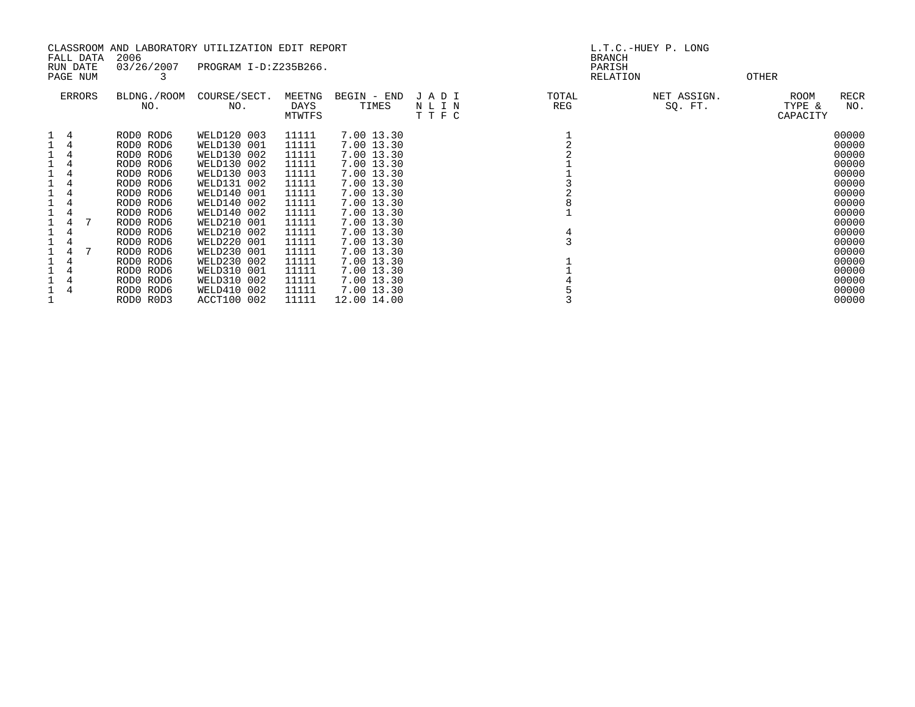| 2006<br>FALL DATA<br>03/26/2007<br>RUN DATE                                                                                                                                                                                                                                                                                              | CLASSROOM AND LABORATORY UTILIZATION EDIT REPORT<br>PROGRAM I-D:Z235B266.                                                                                                                                                                                                  |                                                                                                                                                                |                                                                                                                                                                                                                                                           |                      | L.T.C.-HUEY P. LONG<br><b>BRANCH</b><br>PARISH |                        |                            |                                                                                                                                                                |  |
|------------------------------------------------------------------------------------------------------------------------------------------------------------------------------------------------------------------------------------------------------------------------------------------------------------------------------------------|----------------------------------------------------------------------------------------------------------------------------------------------------------------------------------------------------------------------------------------------------------------------------|----------------------------------------------------------------------------------------------------------------------------------------------------------------|-----------------------------------------------------------------------------------------------------------------------------------------------------------------------------------------------------------------------------------------------------------|----------------------|------------------------------------------------|------------------------|----------------------------|----------------------------------------------------------------------------------------------------------------------------------------------------------------|--|
| PAGE NUM                                                                                                                                                                                                                                                                                                                                 |                                                                                                                                                                                                                                                                            |                                                                                                                                                                |                                                                                                                                                                                                                                                           |                      | RELATION                                       |                        | OTHER                      |                                                                                                                                                                |  |
| ERRORS<br>BLDNG./ROOM<br>NO.                                                                                                                                                                                                                                                                                                             | COURSE/SECT.<br>NO.                                                                                                                                                                                                                                                        | MEETNG<br>DAYS<br>MTWTFS                                                                                                                                       | BEGIN - END<br>TIMES                                                                                                                                                                                                                                      | JADI<br>NLIN<br>TTFC | TOTAL<br>REG                                   | NET ASSIGN.<br>SQ. FT. | ROOM<br>TYPE &<br>CAPACITY | RECR<br>NO.                                                                                                                                                    |  |
| RODO ROD6<br>4<br>4<br>RODO ROD6<br>RODO ROD6<br>4<br>4<br>RODO ROD6<br>RODO ROD6<br>4<br>4<br>RODO ROD6<br>1<br>4<br>RODO ROD6<br>RODO ROD6<br>4<br>RODO ROD6<br>4<br>RODO ROD6<br>RODO ROD6<br>4<br>RODO ROD6<br>4<br>RODO ROD6<br>RODO ROD6<br>4<br>4<br>RODO ROD6<br>1<br>4<br>RODO ROD6<br>$\overline{4}$<br>RODO ROD6<br>RODO ROD3 | WELD120 003<br>WELD130 001<br>WELD130 002<br>WELD130 002<br>WELD130 003<br>WELD131 002<br>WELD140 001<br>WELD140 002<br>WELD140 002<br>WELD210 001<br>WELD210 002<br>WELD220 001<br>WELD230 001<br>WELD230 002<br>WELD310 001<br>WELD310 002<br>WELD410 002<br>ACCT100 002 | 11111<br>11111<br>11111<br>11111<br>11111<br>11111<br>11111<br>11111<br>11111<br>11111<br>11111<br>11111<br>11111<br>11111<br>11111<br>11111<br>11111<br>11111 | 7.00 13.30<br>7.00 13.30<br>7.00 13.30<br>7.00 13.30<br>7.00 13.30<br>7.00 13.30<br>7.00 13.30<br>7.00 13.30<br>7.00 13.30<br>7.00 13.30<br>7.00 13.30<br>7.00 13.30<br>7.00 13.30<br>7.00 13.30<br>7.00 13.30<br>7.00 13.30<br>7.00 13.30<br>12.00 14.00 |                      | 4                                              |                        |                            | 00000<br>00000<br>00000<br>00000<br>00000<br>00000<br>00000<br>00000<br>00000<br>00000<br>00000<br>00000<br>00000<br>00000<br>00000<br>00000<br>00000<br>00000 |  |